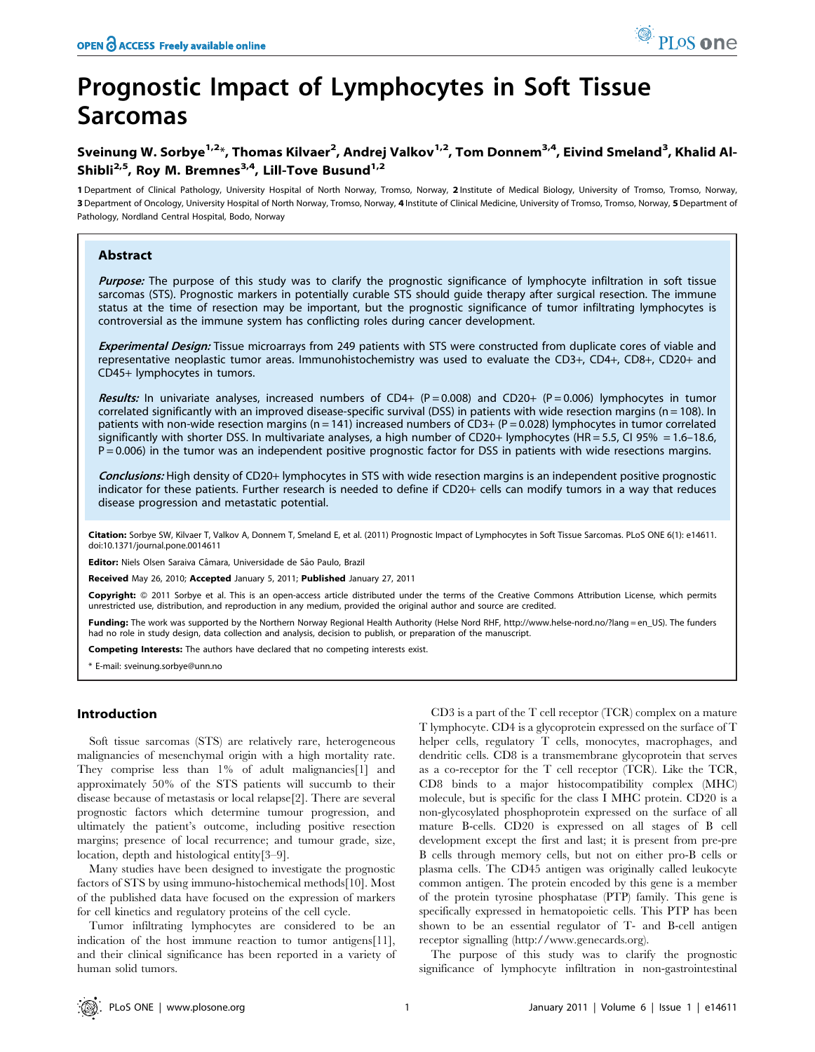# Prognostic Impact of Lymphocytes in Soft Tissue Sarcomas

# Sveinung W. Sorbye<sup>1,2</sup>\*, Thomas Kilvaer<sup>2</sup>, Andrej Valkov<sup>1,2</sup>, Tom Donnem<sup>3,4</sup>, Eivind Smeland<sup>3</sup>, Khalid Al-Shibli<sup>2,5</sup>, Roy M. Bremnes<sup>3,4</sup>, Lill-Tove Busund<sup>1,2</sup>

1 Department of Clinical Pathology, University Hospital of North Norway, Tromso, Norway, 2 Institute of Medical Biology, University of Tromso, Tromso, Norway, 3 Department of Oncology, University Hospital of North Norway, Tromso, Norway, 4 Institute of Clinical Medicine, University of Tromso, Tromso, Norway, 5 Department of Pathology, Nordland Central Hospital, Bodo, Norway

## Abstract

Purpose: The purpose of this study was to clarify the prognostic significance of lymphocyte infiltration in soft tissue sarcomas (STS). Prognostic markers in potentially curable STS should guide therapy after surgical resection. The immune status at the time of resection may be important, but the prognostic significance of tumor infiltrating lymphocytes is controversial as the immune system has conflicting roles during cancer development.

Experimental Design: Tissue microarrays from 249 patients with STS were constructed from duplicate cores of viable and representative neoplastic tumor areas. Immunohistochemistry was used to evaluate the CD3+, CD4+, CD8+, CD20+ and CD45+ lymphocytes in tumors.

Results: In univariate analyses, increased numbers of CD4+ (P = 0.008) and CD20+ (P = 0.006) lymphocytes in tumor correlated significantly with an improved disease-specific survival (DSS) in patients with wide resection margins (n = 108). In patients with non-wide resection margins (n = 141) increased numbers of CD3+ (P = 0.028) lymphocytes in tumor correlated significantly with shorter DSS. In multivariate analyses, a high number of CD20+ lymphocytes (HR = 5.5, CI 95% = 1.6–18.6, P = 0.006) in the tumor was an independent positive prognostic factor for DSS in patients with wide resections margins.

Conclusions: High density of CD20+ lymphocytes in STS with wide resection margins is an independent positive prognostic indicator for these patients. Further research is needed to define if CD20+ cells can modify tumors in a way that reduces disease progression and metastatic potential.

Citation: Sorbye SW, Kilvaer T, Valkov A, Donnem T, Smeland E, et al. (2011) Prognostic Impact of Lymphocytes in Soft Tissue Sarcomas. PLoS ONE 6(1): e14611. doi:10.1371/journal.pone.0014611

Editor: Niels Olsen Saraiva Câmara, Universidade de São Paulo, Brazil

Received May 26, 2010; Accepted January 5, 2011; Published January 27, 2011

Copyright: © 2011 Sorbye et al. This is an open-access article distributed under the terms of the Creative Commons Attribution License, which permits unrestricted use, distribution, and reproduction in any medium, provided the original author and source are credited.

Funding: The work was supported by the Northern Norway Regional Health Authority (Helse Nord RHF, http://www.helse-nord.no/?lang = en US). The funders had no role in study design, data collection and analysis, decision to publish, or preparation of the manuscript.

Competing Interests: The authors have declared that no competing interests exist.

\* E-mail: sveinung.sorbye@unn.no

#### Introduction

Soft tissue sarcomas (STS) are relatively rare, heterogeneous malignancies of mesenchymal origin with a high mortality rate. They comprise less than 1% of adult malignancies[1] and approximately 50% of the STS patients will succumb to their disease because of metastasis or local relapse[2]. There are several prognostic factors which determine tumour progression, and ultimately the patient's outcome, including positive resection margins; presence of local recurrence; and tumour grade, size, location, depth and histological entity[3–9].

Many studies have been designed to investigate the prognostic factors of STS by using immuno-histochemical methods[10]. Most of the published data have focused on the expression of markers for cell kinetics and regulatory proteins of the cell cycle.

Tumor infiltrating lymphocytes are considered to be an indication of the host immune reaction to tumor antigens[11], and their clinical significance has been reported in a variety of human solid tumors.

CD3 is a part of the T cell receptor (TCR) complex on a mature T lymphocyte. CD4 is a glycoprotein expressed on the surface of T helper cells, regulatory T cells, monocytes, macrophages, and dendritic cells. CD8 is a transmembrane glycoprotein that serves as a co-receptor for the T cell receptor (TCR). Like the TCR, CD8 binds to a major histocompatibility complex (MHC) molecule, but is specific for the class I MHC protein. CD20 is a non-glycosylated phosphoprotein expressed on the surface of all mature B-cells. CD20 is expressed on all stages of B cell development except the first and last; it is present from pre-pre B cells through memory cells, but not on either pro-B cells or plasma cells. The CD45 antigen was originally called leukocyte common antigen. The protein encoded by this gene is a member of the protein tyrosine phosphatase (PTP) family. This gene is specifically expressed in hematopoietic cells. This PTP has been shown to be an essential regulator of T- and B-cell antigen receptor signalling (http://www.genecards.org).

The purpose of this study was to clarify the prognostic significance of lymphocyte infiltration in non-gastrointestinal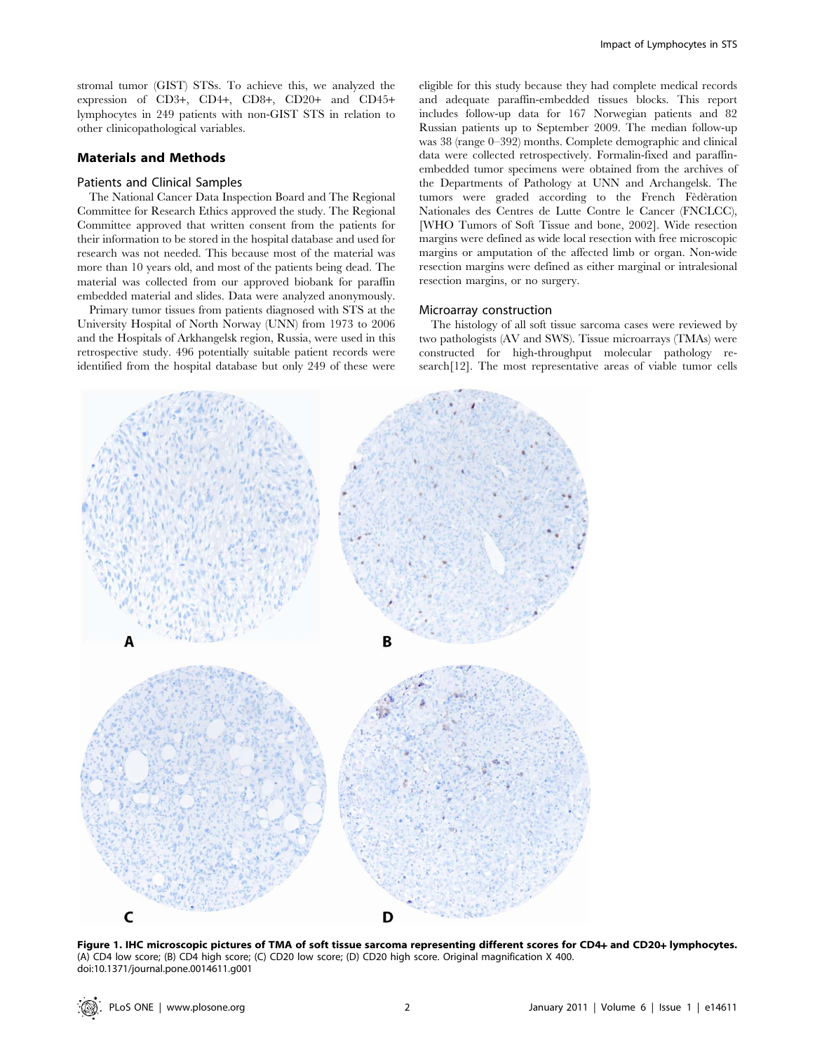stromal tumor (GIST) STSs. To achieve this, we analyzed the expression of CD3+, CD4+, CD8+, CD20+ and CD45+ lymphocytes in 249 patients with non-GIST STS in relation to other clinicopathological variables.

# Materials and Methods

## Patients and Clinical Samples

The National Cancer Data Inspection Board and The Regional Committee for Research Ethics approved the study. The Regional Committee approved that written consent from the patients for their information to be stored in the hospital database and used for research was not needed. This because most of the material was more than 10 years old, and most of the patients being dead. The material was collected from our approved biobank for paraffin embedded material and slides. Data were analyzed anonymously.

Primary tumor tissues from patients diagnosed with STS at the University Hospital of North Norway (UNN) from 1973 to 2006 and the Hospitals of Arkhangelsk region, Russia, were used in this retrospective study. 496 potentially suitable patient records were identified from the hospital database but only 249 of these were

eligible for this study because they had complete medical records and adequate paraffin-embedded tissues blocks. This report includes follow-up data for 167 Norwegian patients and 82 Russian patients up to September 2009. The median follow-up was 38 (range 0–392) months. Complete demographic and clinical data were collected retrospectively. Formalin-fixed and paraffinembedded tumor specimens were obtained from the archives of the Departments of Pathology at UNN and Archangelsk. The tumors were graded according to the French Fèdèration Nationales des Centres de Lutte Contre le Cancer (FNCLCC), [WHO Tumors of Soft Tissue and bone, 2002]. Wide resection margins were defined as wide local resection with free microscopic margins or amputation of the affected limb or organ. Non-wide resection margins were defined as either marginal or intralesional resection margins, or no surgery.

#### Microarray construction

The histology of all soft tissue sarcoma cases were reviewed by two pathologists (AV and SWS). Tissue microarrays (TMAs) were constructed for high-throughput molecular pathology research[12]. The most representative areas of viable tumor cells



Figure 1. IHC microscopic pictures of TMA of soft tissue sarcoma representing different scores for CD4+ and CD20+ lymphocytes. (A) CD4 low score; (B) CD4 high score; (C) CD20 low score; (D) CD20 high score. Original magnification X 400. doi:10.1371/journal.pone.0014611.g001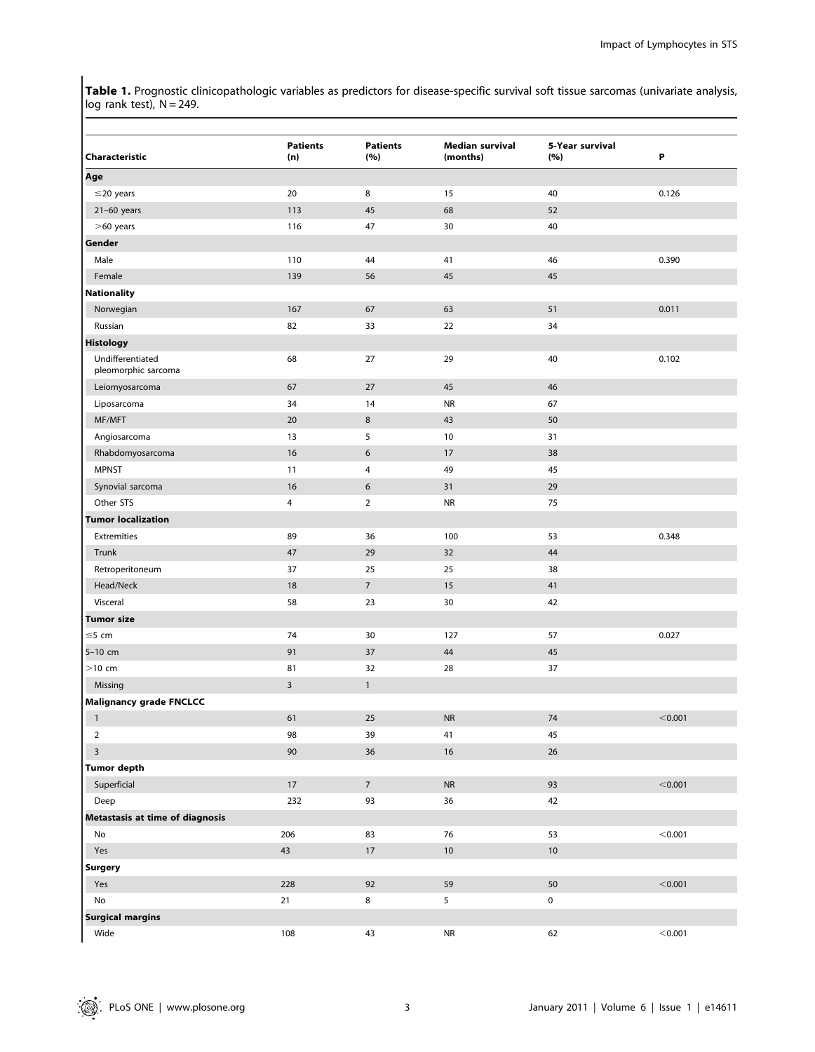Table 1. Prognostic clinicopathologic variables as predictors for disease-specific survival soft tissue sarcomas (univariate analysis, log rank test),  $N = 249$ .

| Characteristic                          | <b>Patients</b><br>(n) | <b>Patients</b><br>(%) | <b>Median survival</b><br>(months) | 5-Year survival<br>(%) | P       |
|-----------------------------------------|------------------------|------------------------|------------------------------------|------------------------|---------|
| Age                                     |                        |                        |                                    |                        |         |
| $\leq$ 20 years                         | 20                     | 8                      | 15                                 | 40                     | 0.126   |
| $21-60$ years                           | 113                    | 45                     | 68                                 | 52                     |         |
| $>60$ years                             | 116                    | 47                     | 30                                 | 40                     |         |
| Gender                                  |                        |                        |                                    |                        |         |
| Male                                    | 110                    | 44                     | 41                                 | 46                     | 0.390   |
| Female                                  | 139                    | 56                     | 45                                 | 45                     |         |
| <b>Nationality</b>                      |                        |                        |                                    |                        |         |
| Norwegian                               | 167                    | 67                     | 63                                 | 51                     | 0.011   |
| Russian                                 | 82                     | 33                     | 22                                 | 34                     |         |
| <b>Histology</b>                        |                        |                        |                                    |                        |         |
| Undifferentiated<br>pleomorphic sarcoma | 68                     | 27                     | 29                                 | 40                     | 0.102   |
| Leiomyosarcoma                          | 67                     | 27                     | 45                                 | 46                     |         |
| Liposarcoma                             | 34                     | 14                     | <b>NR</b>                          | 67                     |         |
| MF/MFT                                  | 20                     | 8                      | 43                                 | 50                     |         |
| Angiosarcoma                            | 13                     | 5                      | 10                                 | 31                     |         |
| Rhabdomyosarcoma                        | 16                     | 6                      | 17                                 | 38                     |         |
| <b>MPNST</b>                            | 11                     | 4                      | 49                                 | 45                     |         |
| Synovial sarcoma                        | 16                     | $\boldsymbol{6}$       | 31                                 | 29                     |         |
| Other STS                               | 4                      | $\overline{2}$         | <b>NR</b>                          | 75                     |         |
| <b>Tumor localization</b>               |                        |                        |                                    |                        |         |
| Extremities                             | 89                     | 36                     | 100                                | 53                     | 0.348   |
| Trunk                                   | 47                     | 29                     | 32                                 | 44                     |         |
| Retroperitoneum                         | 37                     | 25                     | 25                                 | 38                     |         |
| Head/Neck                               | 18                     | $\overline{7}$         | 15                                 | 41                     |         |
| Visceral                                | 58                     | 23                     | 30                                 | 42                     |         |
| <b>Tumor size</b>                       |                        |                        |                                    |                        |         |
| $\leq$ 5 cm                             | 74                     | 30                     | 127                                | 57                     | 0.027   |
| 5-10 cm                                 | 91                     | 37                     | 44                                 | 45                     |         |
| $>10$ cm                                | 81                     | 32                     | 28                                 | 37                     |         |
| Missing                                 | $\overline{3}$         | $\mathbf{1}$           |                                    |                        |         |
| <b>Malignancy grade FNCLCC</b>          |                        |                        |                                    |                        |         |
| 1                                       | 61                     | $25\,$                 | ${\sf NR}$                         | 74                     | < 0.001 |
| $\overline{2}$                          | 98                     | 39                     | 41                                 | 45                     |         |
| $\overline{\mathbf{3}}$                 | $90\,$                 | 36                     | $16\,$                             | 26                     |         |
| <b>Tumor depth</b>                      |                        |                        |                                    |                        |         |
| Superficial                             | $17\,$                 | $7\overline{ }$        | ${\sf NR}$                         | 93                     | < 0.001 |
| Deep                                    | 232                    | 93                     | 36                                 | 42                     |         |
| Metastasis at time of diagnosis         |                        |                        |                                    |                        |         |
| No                                      | 206                    | 83                     | $76\,$                             | 53                     | < 0.001 |
| Yes                                     | $43\,$                 | $17$                   | $10\,$                             | $10$                   |         |
| Surgery                                 |                        |                        |                                    |                        |         |
|                                         | 228                    | 92                     | 59                                 | $50\,$                 | < 0.001 |
| Yes<br>$\operatorname{\mathsf{No}}$     | 21                     | $\bf 8$                | 5                                  | $\pmb{0}$              |         |
| <b>Surgical margins</b>                 |                        |                        |                                    |                        |         |
|                                         |                        |                        |                                    |                        |         |
| Wide                                    | 108                    | 43                     | ${\sf NR}$                         | 62                     | < 0.001 |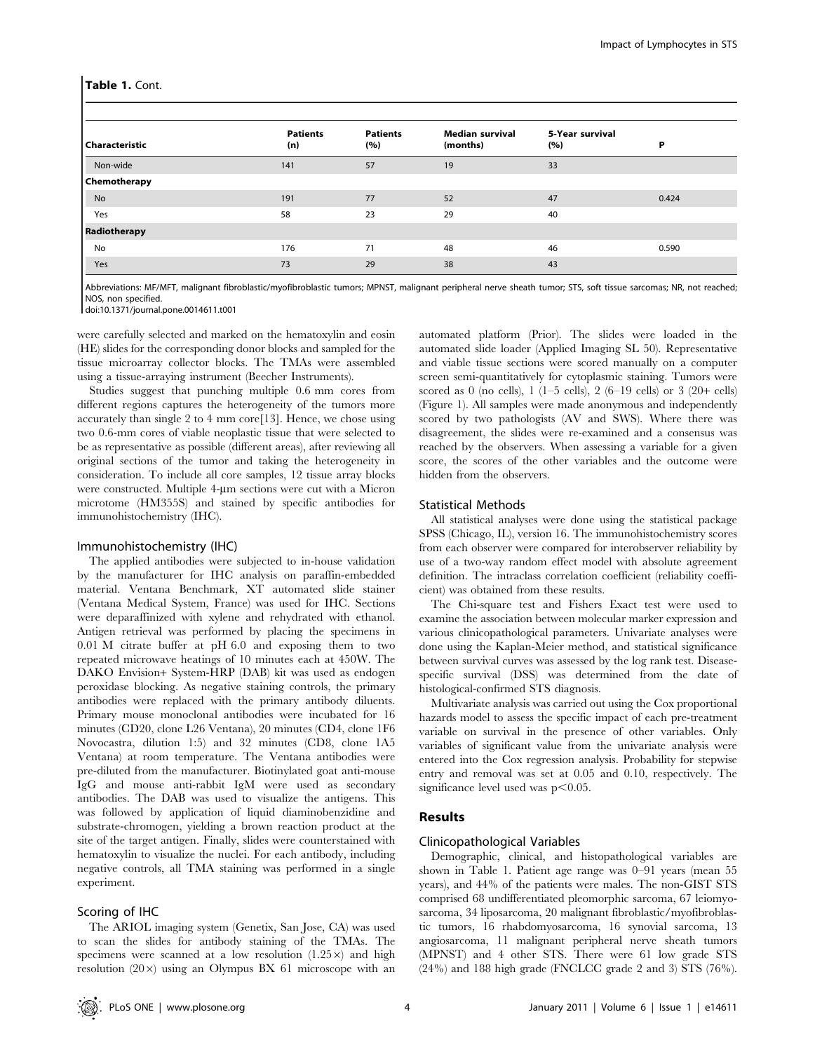| Characteristic      | <b>Patients</b><br>(n) | <b>Patients</b><br>(%) | <b>Median survival</b><br>(months) | 5-Year survival<br>(%) | Р     |
|---------------------|------------------------|------------------------|------------------------------------|------------------------|-------|
| Non-wide            | 141                    | 57                     | 19                                 | 33                     |       |
| <b>Chemotherapy</b> |                        |                        |                                    |                        |       |
| No                  | 191                    | 77                     | 52                                 | 47                     | 0.424 |
| Yes                 | 58                     | 23                     | 29                                 | 40                     |       |
| Radiotherapy        |                        |                        |                                    |                        |       |
| No                  | 176                    | 71                     | 48                                 | 46                     | 0.590 |
| Yes                 | 73                     | 29                     | 38                                 | 43                     |       |

Abbreviations: MF/MFT, malignant fibroblastic/myofibroblastic tumors; MPNST, malignant peripheral nerve sheath tumor; STS, soft tissue sarcomas; NR, not reached; NOS, non specified.

doi:10.1371/journal.pone.0014611.t001

were carefully selected and marked on the hematoxylin and eosin (HE) slides for the corresponding donor blocks and sampled for the tissue microarray collector blocks. The TMAs were assembled using a tissue-arraying instrument (Beecher Instruments).

Studies suggest that punching multiple 0.6 mm cores from different regions captures the heterogeneity of the tumors more accurately than single 2 to 4 mm core[13]. Hence, we chose using two 0.6-mm cores of viable neoplastic tissue that were selected to be as representative as possible (different areas), after reviewing all original sections of the tumor and taking the heterogeneity in consideration. To include all core samples, 12 tissue array blocks were constructed. Multiple 4-um sections were cut with a Micron microtome (HM355S) and stained by specific antibodies for immunohistochemistry (IHC).

#### Immunohistochemistry (IHC)

The applied antibodies were subjected to in-house validation by the manufacturer for IHC analysis on paraffin-embedded material. Ventana Benchmark, XT automated slide stainer (Ventana Medical System, France) was used for IHC. Sections were deparaffinized with xylene and rehydrated with ethanol. Antigen retrieval was performed by placing the specimens in 0.01 M citrate buffer at pH 6.0 and exposing them to two repeated microwave heatings of 10 minutes each at 450W. The DAKO Envision+ System-HRP (DAB) kit was used as endogen peroxidase blocking. As negative staining controls, the primary antibodies were replaced with the primary antibody diluents. Primary mouse monoclonal antibodies were incubated for 16 minutes (CD20, clone L26 Ventana), 20 minutes (CD4, clone 1F6 Novocastra, dilution 1:5) and 32 minutes (CD8, clone 1A5 Ventana) at room temperature. The Ventana antibodies were pre-diluted from the manufacturer. Biotinylated goat anti-mouse IgG and mouse anti-rabbit IgM were used as secondary antibodies. The DAB was used to visualize the antigens. This was followed by application of liquid diaminobenzidine and substrate-chromogen, yielding a brown reaction product at the site of the target antigen. Finally, slides were counterstained with hematoxylin to visualize the nuclei. For each antibody, including negative controls, all TMA staining was performed in a single experiment.

## Scoring of IHC

The ARIOL imaging system (Genetix, San Jose, CA) was used to scan the slides for antibody staining of the TMAs. The specimens were scanned at a low resolution  $(1.25 \times)$  and high resolution  $(20 \times)$  using an Olympus BX 61 microscope with an automated platform (Prior). The slides were loaded in the automated slide loader (Applied Imaging SL 50). Representative and viable tissue sections were scored manually on a computer screen semi-quantitatively for cytoplasmic staining. Tumors were scored as 0 (no cells),  $1$  (1–5 cells),  $2$  (6–19 cells) or 3 (20+ cells) (Figure 1). All samples were made anonymous and independently scored by two pathologists (AV and SWS). Where there was disagreement, the slides were re-examined and a consensus was reached by the observers. When assessing a variable for a given score, the scores of the other variables and the outcome were hidden from the observers.

#### Statistical Methods

All statistical analyses were done using the statistical package SPSS (Chicago, IL), version 16. The immunohistochemistry scores from each observer were compared for interobserver reliability by use of a two-way random effect model with absolute agreement definition. The intraclass correlation coefficient (reliability coefficient) was obtained from these results.

The Chi-square test and Fishers Exact test were used to examine the association between molecular marker expression and various clinicopathological parameters. Univariate analyses were done using the Kaplan-Meier method, and statistical significance between survival curves was assessed by the log rank test. Diseasespecific survival (DSS) was determined from the date of histological-confirmed STS diagnosis.

Multivariate analysis was carried out using the Cox proportional hazards model to assess the specific impact of each pre-treatment variable on survival in the presence of other variables. Only variables of significant value from the univariate analysis were entered into the Cox regression analysis. Probability for stepwise entry and removal was set at 0.05 and 0.10, respectively. The significance level used was  $p<0.05$ .

#### Results

#### Clinicopathological Variables

Demographic, clinical, and histopathological variables are shown in Table 1. Patient age range was 0–91 years (mean 55 years), and 44% of the patients were males. The non-GIST STS comprised 68 undifferentiated pleomorphic sarcoma, 67 leiomyosarcoma, 34 liposarcoma, 20 malignant fibroblastic/myofibroblastic tumors, 16 rhabdomyosarcoma, 16 synovial sarcoma, 13 angiosarcoma, 11 malignant peripheral nerve sheath tumors (MPNST) and 4 other STS. There were 61 low grade STS (24%) and 188 high grade (FNCLCC grade 2 and 3) STS (76%).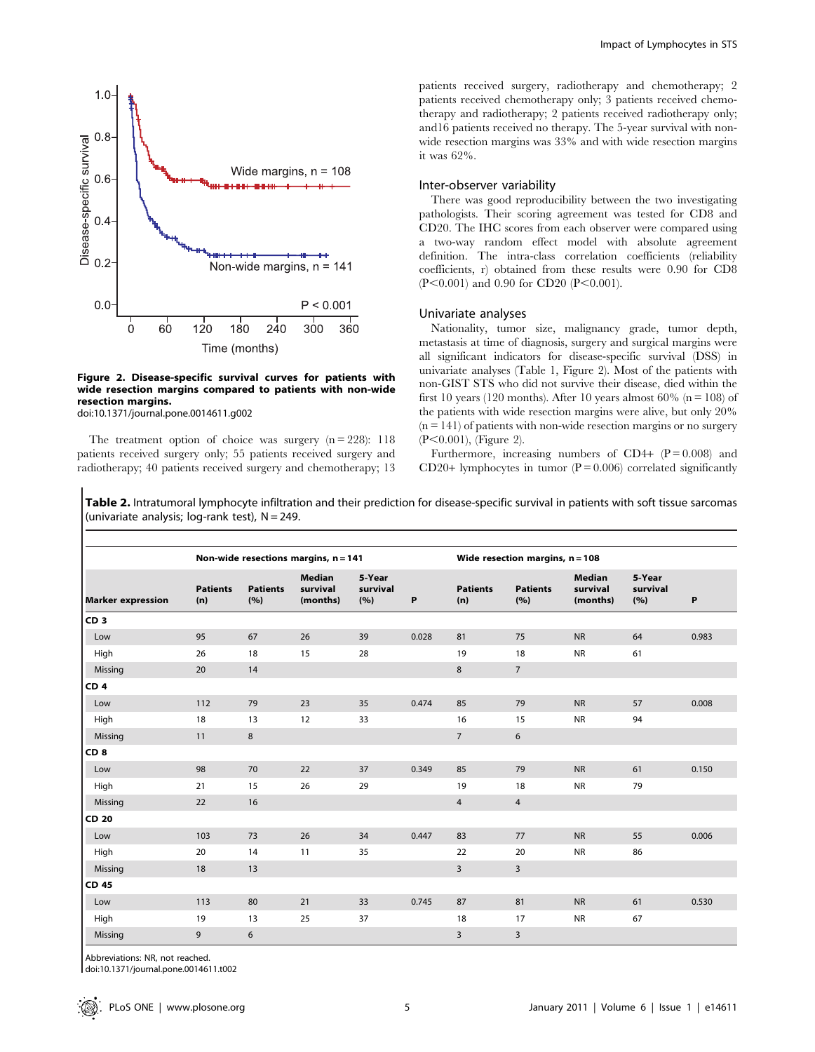

#### Figure 2. Disease-specific survival curves for patients with wide resection margins compared to patients with non-wide resection margins.

doi:10.1371/journal.pone.0014611.g002

The treatment option of choice was surgery  $(n = 228)$ : 118 patients received surgery only; 55 patients received surgery and radiotherapy; 40 patients received surgery and chemotherapy; 13 patients received surgery, radiotherapy and chemotherapy; 2 patients received chemotherapy only; 3 patients received chemotherapy and radiotherapy; 2 patients received radiotherapy only; and16 patients received no therapy. The 5-year survival with nonwide resection margins was 33% and with wide resection margins it was 62%.

#### Inter-observer variability

There was good reproducibility between the two investigating pathologists. Their scoring agreement was tested for CD8 and CD20. The IHC scores from each observer were compared using a two-way random effect model with absolute agreement definition. The intra-class correlation coefficients (reliability coefficients, r) obtained from these results were 0.90 for CD8  $(P<0.001)$  and 0.90 for CD20 (P<0.001).

#### Univariate analyses

Nationality, tumor size, malignancy grade, tumor depth, metastasis at time of diagnosis, surgery and surgical margins were all significant indicators for disease-specific survival (DSS) in univariate analyses (Table 1, Figure 2). Most of the patients with non-GIST STS who did not survive their disease, died within the first 10 years (120 months). After 10 years almost 60% ( $n = 108$ ) of the patients with wide resection margins were alive, but only 20%  $(n = 141)$  of patients with non-wide resection margins or no surgery  $(P<0.001)$ , (Figure 2).

Furthermore, increasing numbers of CD4+  $(P = 0.008)$  and CD20+ lymphocytes in tumor  $(P = 0.006)$  correlated significantly

Table 2. Intratumoral lymphocyte infiltration and their prediction for disease-specific survival in patients with soft tissue sarcomas (univariate analysis; log-rank test),  $N = 249$ .

|                                                    |                        | Non-wide resections margins, n = 141  |                           |    |                        | Wide resection margins, $n = 108$ |                                       |                           |    |       |
|----------------------------------------------------|------------------------|---------------------------------------|---------------------------|----|------------------------|-----------------------------------|---------------------------------------|---------------------------|----|-------|
| <b>Patients</b><br><b>Marker expression</b><br>(n) | <b>Patients</b><br>(%) | <b>Median</b><br>survival<br>(months) | 5-Year<br>survival<br>(%) | P  | <b>Patients</b><br>(n) | <b>Patients</b><br>(%)            | <b>Median</b><br>survival<br>(months) | 5-Year<br>survival<br>(%) | P  |       |
| CD <sub>3</sub>                                    |                        |                                       |                           |    |                        |                                   |                                       |                           |    |       |
| Low                                                | 95                     | 67                                    | 26                        | 39 | 0.028                  | 81                                | 75                                    | <b>NR</b>                 | 64 | 0.983 |
| High                                               | 26                     | 18                                    | 15                        | 28 |                        | 19                                | 18                                    | <b>NR</b>                 | 61 |       |
| Missing                                            | 20                     | 14                                    |                           |    |                        | 8                                 | $\overline{7}$                        |                           |    |       |
| CD <sub>4</sub>                                    |                        |                                       |                           |    |                        |                                   |                                       |                           |    |       |
| Low                                                | 112                    | 79                                    | 23                        | 35 | 0.474                  | 85                                | 79                                    | <b>NR</b>                 | 57 | 0.008 |
| High                                               | 18                     | 13                                    | 12                        | 33 |                        | 16                                | 15                                    | <b>NR</b>                 | 94 |       |
| Missing                                            | 11                     | 8                                     |                           |    |                        | $\overline{7}$                    | 6                                     |                           |    |       |
| CD <sub>8</sub>                                    |                        |                                       |                           |    |                        |                                   |                                       |                           |    |       |
| Low                                                | 98                     | 70                                    | 22                        | 37 | 0.349                  | 85                                | 79                                    | <b>NR</b>                 | 61 | 0.150 |
| High                                               | 21                     | 15                                    | 26                        | 29 |                        | 19                                | 18                                    | <b>NR</b>                 | 79 |       |
| Missing                                            | 22                     | 16                                    |                           |    |                        | $\overline{4}$                    | $\overline{4}$                        |                           |    |       |
| CD 20                                              |                        |                                       |                           |    |                        |                                   |                                       |                           |    |       |
| Low                                                | 103                    | 73                                    | 26                        | 34 | 0.447                  | 83                                | 77                                    | <b>NR</b>                 | 55 | 0.006 |
| High                                               | 20                     | 14                                    | 11                        | 35 |                        | 22                                | 20                                    | <b>NR</b>                 | 86 |       |
| Missing                                            | 18                     | 13                                    |                           |    |                        | $\overline{3}$                    | $\overline{3}$                        |                           |    |       |
| <b>CD 45</b>                                       |                        |                                       |                           |    |                        |                                   |                                       |                           |    |       |
| Low                                                | 113                    | 80                                    | 21                        | 33 | 0.745                  | 87                                | 81                                    | <b>NR</b>                 | 61 | 0.530 |
| High                                               | 19                     | 13                                    | 25                        | 37 |                        | 18                                | 17                                    | <b>NR</b>                 | 67 |       |
| Missing                                            | $\mathsf g$            | 6                                     |                           |    |                        | $\overline{3}$                    | 3                                     |                           |    |       |

Abbreviations: NR, not reached.

doi:10.1371/journal.pone.0014611.t002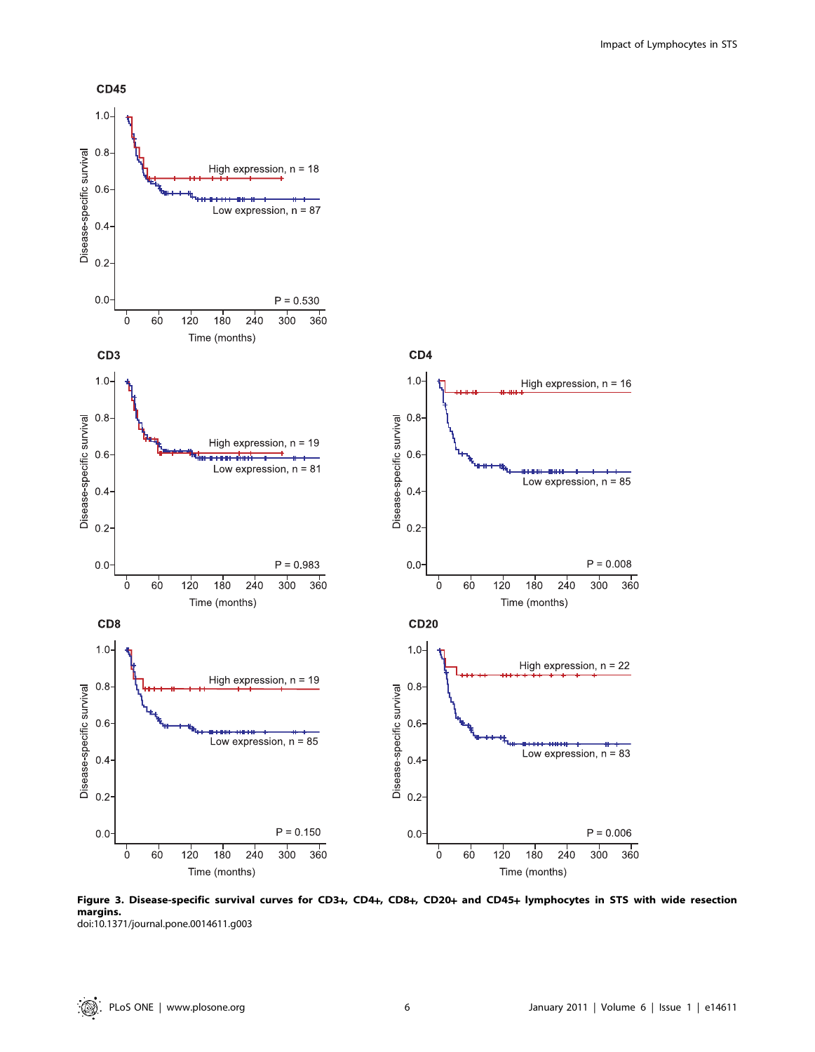

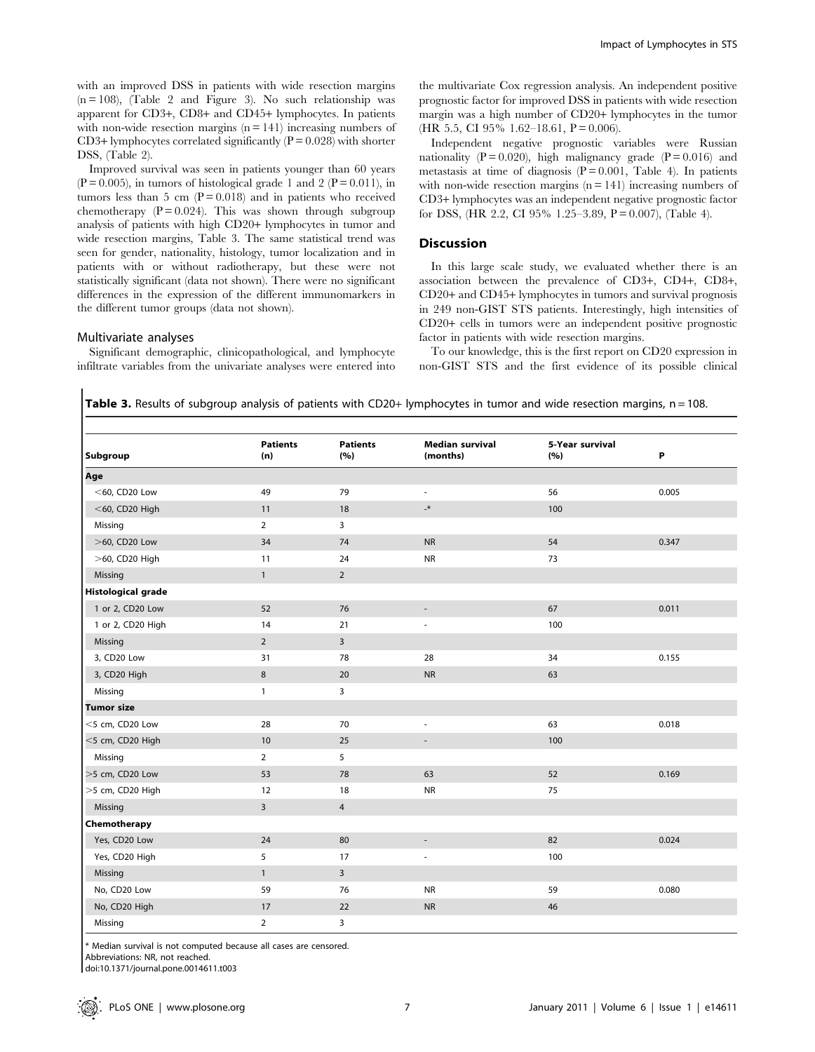with an improved DSS in patients with wide resection margins  $(n = 108)$ , (Table 2 and Figure 3). No such relationship was apparent for CD3+, CD8+ and CD45+ lymphocytes. In patients with non-wide resection margins  $(n = 141)$  increasing numbers of CD3+ lymphocytes correlated significantly  $(P = 0.028)$  with shorter DSS, (Table 2).

Improved survival was seen in patients younger than 60 years  $(P = 0.005)$ , in tumors of histological grade 1 and 2  $(P = 0.011)$ , in tumors less than 5 cm  $(P = 0.018)$  and in patients who received chemotherapy  $(P = 0.024)$ . This was shown through subgroup analysis of patients with high CD20+ lymphocytes in tumor and wide resection margins, Table 3. The same statistical trend was seen for gender, nationality, histology, tumor localization and in patients with or without radiotherapy, but these were not statistically significant (data not shown). There were no significant differences in the expression of the different immunomarkers in the different tumor groups (data not shown).

Significant demographic, clinicopathological, and lymphocyte infiltrate variables from the univariate analyses were entered into

Multivariate analyses

# the multivariate Cox regression analysis. An independent positive prognostic factor for improved DSS in patients with wide resection margin was a high number of CD20+ lymphocytes in the tumor (HR 5.5, CI 95% 1.62–18.61,  $P = 0.006$ ).

Independent negative prognostic variables were Russian nationality ( $P = 0.020$ ), high malignancy grade ( $P = 0.016$ ) and metastasis at time of diagnosis  $(P = 0.001,$  Table 4). In patients with non-wide resection margins  $(n = 141)$  increasing numbers of CD3+ lymphocytes was an independent negative prognostic factor for DSS,  $(HR 2.2, CI 95\% 1.25-3.89, P=0.007)$ ,  $(Table 4)$ .

#### **Discussion**

In this large scale study, we evaluated whether there is an association between the prevalence of CD3+, CD4+, CD8+, CD20+ and CD45+ lymphocytes in tumors and survival prognosis in 249 non-GIST STS patients. Interestingly, high intensities of CD20+ cells in tumors were an independent positive prognostic factor in patients with wide resection margins.

To our knowledge, this is the first report on CD20 expression in non-GIST STS and the first evidence of its possible clinical

| Table 3. Results of subgroup analysis of patients with CD20+ lymphocytes in tumor and wide resection margins, n = 108 |  |  |
|-----------------------------------------------------------------------------------------------------------------------|--|--|
|-----------------------------------------------------------------------------------------------------------------------|--|--|

| Subgroup                  | <b>Patients</b><br>(n)  | <b>Patients</b><br>(%) | <b>Median survival</b><br>(months) | 5-Year survival<br>(%) | Ρ     |
|---------------------------|-------------------------|------------------------|------------------------------------|------------------------|-------|
| Age                       |                         |                        |                                    |                        |       |
| $<$ 60, CD20 Low          | 49                      | 79                     | $\overline{\phantom{a}}$           | 56                     | 0.005 |
| $<$ 60, CD20 High         | 11                      | 18                     | $\mathcal{N}$                      | 100                    |       |
| Missing                   | $\overline{2}$          | 3                      |                                    |                        |       |
| >60, CD20 Low             | 34                      | 74                     | <b>NR</b>                          | 54                     | 0.347 |
| >60, CD20 High            | 11                      | 24                     | <b>NR</b>                          | 73                     |       |
| Missing                   | $\mathbf{1}$            | $\overline{2}$         |                                    |                        |       |
| <b>Histological grade</b> |                         |                        |                                    |                        |       |
| 1 or 2, CD20 Low          | 52                      | 76                     | $\overline{\phantom{0}}$           | 67                     | 0.011 |
| 1 or 2, CD20 High         | 14                      | 21                     | $\overline{\phantom{a}}$           | 100                    |       |
| Missing                   | $\overline{2}$          | $\mathbf{3}$           |                                    |                        |       |
| 3, CD20 Low               | 31                      | 78                     | 28                                 | 34                     | 0.155 |
| 3, CD20 High              | 8                       | 20                     | <b>NR</b>                          | 63                     |       |
| Missing                   | $\mathbf{1}$            | 3                      |                                    |                        |       |
| <b>Tumor size</b>         |                         |                        |                                    |                        |       |
| <5 cm, CD20 Low           | 28                      | 70                     | ä,                                 | 63                     | 0.018 |
| <5 cm, CD20 High          | 10                      | 25                     | Ē,                                 | 100                    |       |
| Missing                   | $\overline{2}$          | 5                      |                                    |                        |       |
| >5 cm, CD20 Low           | 53                      | 78                     | 63                                 | 52                     | 0.169 |
| >5 cm, CD20 High          | 12                      | 18                     | <b>NR</b>                          | 75                     |       |
| Missing                   | $\overline{\mathbf{3}}$ | $\overline{4}$         |                                    |                        |       |
| Chemotherapy              |                         |                        |                                    |                        |       |
| Yes, CD20 Low             | 24                      | 80                     | $\overline{\phantom{a}}$           | 82                     | 0.024 |
| Yes, CD20 High            | 5                       | 17                     | $\overline{\phantom{a}}$           | 100                    |       |
| Missing                   | $\mathbf{1}$            | $\overline{3}$         |                                    |                        |       |
| No, CD20 Low              | 59                      | 76                     | <b>NR</b>                          | 59                     | 0.080 |
| No, CD20 High             | 17                      | 22                     | <b>NR</b>                          | 46                     |       |
| Missing                   | $\overline{2}$          | 3                      |                                    |                        |       |

\* Median survival is not computed because all cases are censored.

Abbreviations: NR, not reached.

doi:10.1371/journal.pone.0014611.t003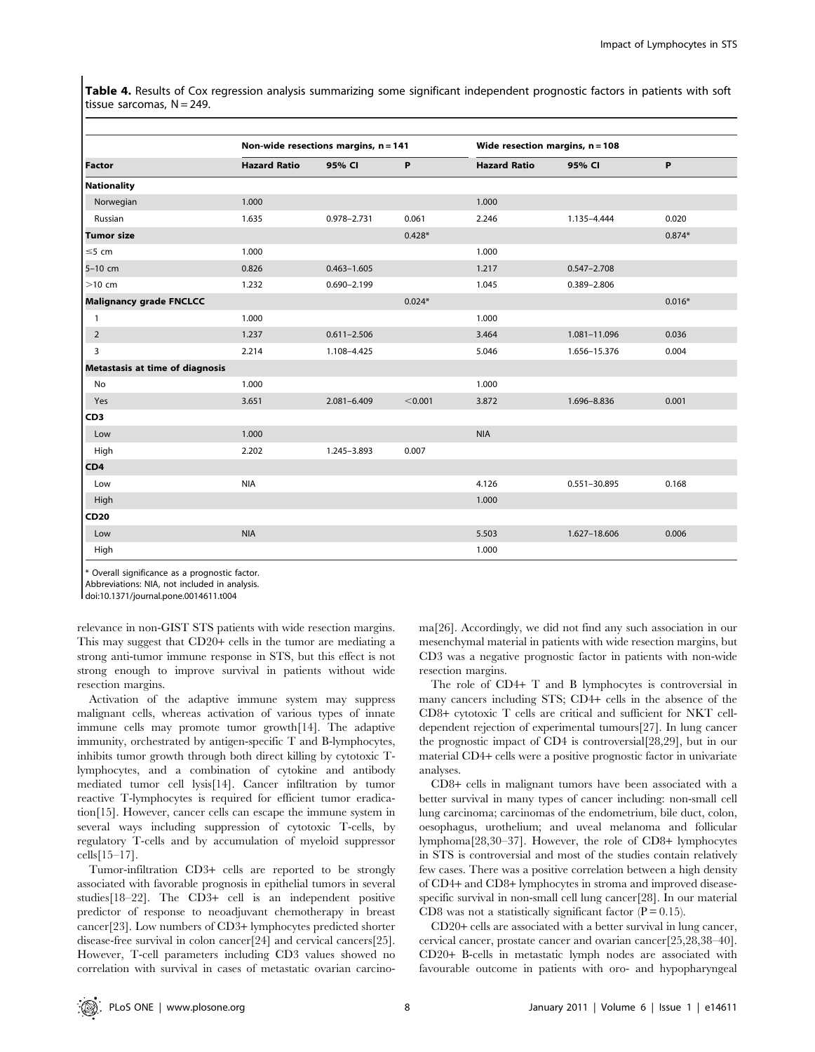Table 4. Results of Cox regression analysis summarizing some significant independent prognostic factors in patients with soft tissue sarcomas,  $N = 249$ .

|                                 |                     | Non-wide resections margins, $n = 141$ |          |                     | Wide resection margins, $n = 108$ |          |  |
|---------------------------------|---------------------|----------------------------------------|----------|---------------------|-----------------------------------|----------|--|
| <b>Factor</b>                   | <b>Hazard Ratio</b> | 95% CI                                 | P        | <b>Hazard Ratio</b> | 95% CI                            | P        |  |
| <b>Nationality</b>              |                     |                                        |          |                     |                                   |          |  |
| Norwegian                       | 1.000               |                                        |          | 1.000               |                                   |          |  |
| Russian                         | 1.635               | 0.978-2.731                            | 0.061    | 2.246               | 1.135-4.444                       | 0.020    |  |
| <b>Tumor size</b>               |                     |                                        | $0.428*$ |                     |                                   | $0.874*$ |  |
| $\leq$ 5 cm                     | 1.000               |                                        |          | 1.000               |                                   |          |  |
| 5-10 cm                         | 0.826               | $0.463 - 1.605$                        |          | 1.217               | $0.547 - 2.708$                   |          |  |
| $>10$ cm                        | 1.232               | $0.690 - 2.199$                        |          | 1.045               | 0.389-2.806                       |          |  |
| <b>Malignancy grade FNCLCC</b>  |                     |                                        | $0.024*$ |                     |                                   | $0.016*$ |  |
| $\mathbf{1}$                    | 1.000               |                                        |          | 1.000               |                                   |          |  |
| $\overline{2}$                  | 1.237               | $0.611 - 2.506$                        |          | 3.464               | 1.081-11.096                      | 0.036    |  |
| 3                               | 2.214               | 1.108-4.425                            |          | 5.046               | 1.656-15.376                      | 0.004    |  |
| Metastasis at time of diagnosis |                     |                                        |          |                     |                                   |          |  |
| No                              | 1.000               |                                        |          | 1.000               |                                   |          |  |
| Yes                             | 3.651               | 2.081-6.409                            | < 0.001  | 3.872               | 1.696-8.836                       | 0.001    |  |
| CD <sub>3</sub>                 |                     |                                        |          |                     |                                   |          |  |
| Low                             | 1.000               |                                        |          | <b>NIA</b>          |                                   |          |  |
| High                            | 2.202               | 1.245-3.893                            | 0.007    |                     |                                   |          |  |
| CD4                             |                     |                                        |          |                     |                                   |          |  |
| Low                             | <b>NIA</b>          |                                        |          | 4.126               | 0.551-30.895                      | 0.168    |  |
| High                            |                     |                                        |          | 1.000               |                                   |          |  |
| <b>CD20</b>                     |                     |                                        |          |                     |                                   |          |  |
| Low                             | <b>NIA</b>          |                                        |          | 5.503               | 1.627-18.606                      | 0.006    |  |
| High                            |                     |                                        |          | 1.000               |                                   |          |  |

\* Overall significance as a prognostic factor.

Abbreviations: NIA, not included in analysis.

doi:10.1371/journal.pone.0014611.t004

relevance in non-GIST STS patients with wide resection margins. This may suggest that CD20+ cells in the tumor are mediating a strong anti-tumor immune response in STS, but this effect is not strong enough to improve survival in patients without wide resection margins.

Activation of the adaptive immune system may suppress malignant cells, whereas activation of various types of innate immune cells may promote tumor growth[14]. The adaptive immunity, orchestrated by antigen-specific T and B-lymphocytes, inhibits tumor growth through both direct killing by cytotoxic Tlymphocytes, and a combination of cytokine and antibody mediated tumor cell lysis[14]. Cancer infiltration by tumor reactive T-lymphocytes is required for efficient tumor eradication[15]. However, cancer cells can escape the immune system in several ways including suppression of cytotoxic T-cells, by regulatory T-cells and by accumulation of myeloid suppressor cells[15–17].

Tumor-infiltration CD3+ cells are reported to be strongly associated with favorable prognosis in epithelial tumors in several studies[18–22]. The CD3+ cell is an independent positive predictor of response to neoadjuvant chemotherapy in breast cancer[23]. Low numbers of CD3+ lymphocytes predicted shorter disease-free survival in colon cancer[24] and cervical cancers[25]. However, T-cell parameters including CD3 values showed no correlation with survival in cases of metastatic ovarian carcinoma[26]. Accordingly, we did not find any such association in our mesenchymal material in patients with wide resection margins, but CD3 was a negative prognostic factor in patients with non-wide resection margins.

The role of CD4+ T and B lymphocytes is controversial in many cancers including STS; CD4+ cells in the absence of the CD8+ cytotoxic T cells are critical and sufficient for NKT celldependent rejection of experimental tumours[27]. In lung cancer the prognostic impact of CD4 is controversial[28,29], but in our material CD4+ cells were a positive prognostic factor in univariate analyses.

CD8+ cells in malignant tumors have been associated with a better survival in many types of cancer including: non-small cell lung carcinoma; carcinomas of the endometrium, bile duct, colon, oesophagus, urothelium; and uveal melanoma and follicular lymphoma[28,30–37]. However, the role of CD8+ lymphocytes in STS is controversial and most of the studies contain relatively few cases. There was a positive correlation between a high density of CD4+ and CD8+ lymphocytes in stroma and improved diseasespecific survival in non-small cell lung cancer[28]. In our material CD8 was not a statistically significant factor  $(P = 0.15)$ .

CD20+ cells are associated with a better survival in lung cancer, cervical cancer, prostate cancer and ovarian cancer[25,28,38–40]. CD20+ B-cells in metastatic lymph nodes are associated with favourable outcome in patients with oro- and hypopharyngeal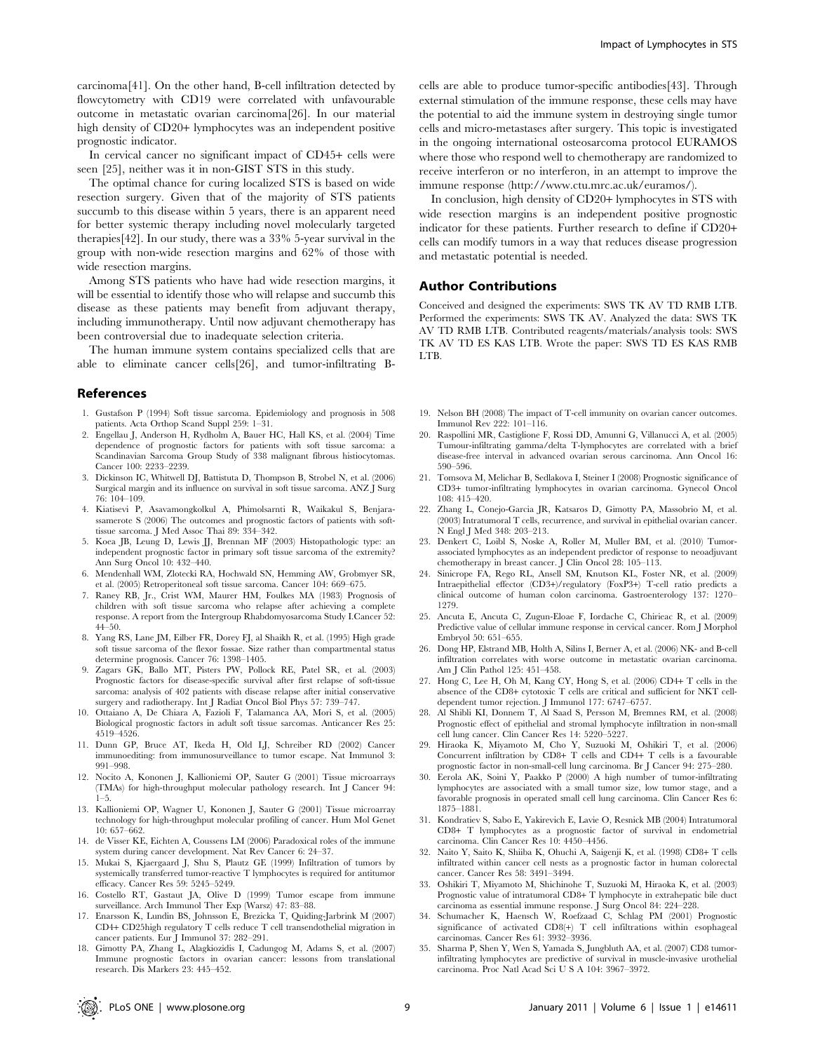carcinoma[41]. On the other hand, B-cell infiltration detected by flowcytometry with CD19 were correlated with unfavourable outcome in metastatic ovarian carcinoma[26]. In our material high density of CD20+ lymphocytes was an independent positive prognostic indicator.

In cervical cancer no significant impact of CD45+ cells were seen [25], neither was it in non-GIST STS in this study.

The optimal chance for curing localized STS is based on wide resection surgery. Given that of the majority of STS patients succumb to this disease within 5 years, there is an apparent need for better systemic therapy including novel molecularly targeted therapies[42]. In our study, there was a 33% 5-year survival in the group with non-wide resection margins and 62% of those with wide resection margins.

Among STS patients who have had wide resection margins, it will be essential to identify those who will relapse and succumb this disease as these patients may benefit from adjuvant therapy, including immunotherapy. Until now adjuvant chemotherapy has been controversial due to inadequate selection criteria.

The human immune system contains specialized cells that are able to eliminate cancer cells[26], and tumor-infiltrating B-

#### References

- 1. Gustafson P (1994) Soft tissue sarcoma. Epidemiology and prognosis in 508 patients. Acta Orthop Scand Suppl 259: 1–31.
- 2. Engellau J, Anderson H, Rydholm A, Bauer HC, Hall KS, et al. (2004) Time dependence of prognostic factors for patients with soft tissue sarcoma: a Scandinavian Sarcoma Group Study of 338 malignant fibrous histiocytomas. Cancer 100: 2233–2239.
- 3. Dickinson IC, Whitwell DJ, Battistuta D, Thompson B, Strobel N, et al. (2006) Surgical margin and its influence on survival in soft tissue sarcoma. ANZ J Surg 76: 104–109.
- 4. Kiatisevi P, Asavamongkolkul A, Phimolsarnti R, Waikakul S, Benjarassamerote S (2006) The outcomes and prognostic factors of patients with softtissue sarcoma. J Med Assoc Thai 89: 334–342.
- 5. Koea JB, Leung D, Lewis JJ, Brennan MF (2003) Histopathologic type: an independent prognostic factor in primary soft tissue sarcoma of the extremity? Ann Surg Oncol 10: 432–440.
- 6. Mendenhall WM, Zlotecki RA, Hochwald SN, Hemming AW, Grobmyer SR, et al. (2005) Retroperitoneal soft tissue sarcoma. Cancer 104: 669–675.
- 7. Raney RB, Jr., Crist WM, Maurer HM, Foulkes MA (1983) Prognosis of children with soft tissue sarcoma who relapse after achieving a complete response. A report from the Intergroup Rhabdomyosarcoma Study I.Cancer 52: 44–50.
- 8. Yang RS, Lane JM, Eilber FR, Dorey FJ, al Shaikh R, et al. (1995) High grade soft tissue sarcoma of the flexor fossae. Size rather than compartmental status determine prognosis. Cancer 76: 1398–1405.
- 9. Zagars GK, Ballo MT, Pisters PW, Pollock RE, Patel SR, et al. (2003) Prognostic factors for disease-specific survival after first relapse of soft-tissue sarcoma: analysis of 402 patients with disease relapse after initial conservative surgery and radiotherapy. Int J Radiat Oncol Biol Phys 57: 739–747.
- 10. Ottaiano A, De Chiara A, Fazioli F, Talamanca AA, Mori S, et al. (2005) Biological prognostic factors in adult soft tissue sarcomas. Anticancer Res 25: 4519–4526.
- 11. Dunn GP, Bruce AT, Ikeda H, Old LJ, Schreiber RD (2002) Cancer immunoediting: from immunosurveillance to tumor escape. Nat Immunol 3: 991–998.
- 12. Nocito A, Kononen J, Kallioniemi OP, Sauter G (2001) Tissue microarrays (TMAs) for high-throughput molecular pathology research. Int J Cancer 94: 1–5.
- 13. Kallioniemi OP, Wagner U, Kononen J, Sauter G (2001) Tissue microarray technology for high-throughput molecular profiling of cancer. Hum Mol Genet 10: 657–662.
- 14. de Visser KE, Eichten A, Coussens LM (2006) Paradoxical roles of the immune system during cancer development. Nat Rev Cancer 6: 24–37.
- 15. Mukai S, Kjaergaard J, Shu S, Plautz GE (1999) Infiltration of tumors by systemically transferred tumor-reactive T lymphocytes is required for antitumor efficacy. Cancer Res 59: 5245–5249.
- 16. Costello RT, Gastaut JA, Olive D (1999) Tumor escape from immune surveillance. Arch Immunol Ther Exp (Warsz) 47: 83–88.
- 17. Enarsson K, Lundin BS, Johnsson E, Brezicka T, Quiding-Jarbrink M (2007) CD4+ CD25high regulatory T cells reduce T cell transendothelial migration in cancer patients. Eur J Immunol 37: 282–291.
- 18. Gimotty PA, Zhang L, Alagkiozidis I, Cadungog M, Adams S, et al. (2007) Immune prognostic factors in ovarian cancer: lessons from translational research. Dis Markers 23: 445–452.

cells are able to produce tumor-specific antibodies[43]. Through external stimulation of the immune response, these cells may have the potential to aid the immune system in destroying single tumor cells and micro-metastases after surgery. This topic is investigated in the ongoing international osteosarcoma protocol EURAMOS where those who respond well to chemotherapy are randomized to receive interferon or no interferon, in an attempt to improve the immune response (http://www.ctu.mrc.ac.uk/euramos/).

In conclusion, high density of CD20+ lymphocytes in STS with wide resection margins is an independent positive prognostic indicator for these patients. Further research to define if CD20+ cells can modify tumors in a way that reduces disease progression and metastatic potential is needed.

#### Author Contributions

Conceived and designed the experiments: SWS TK AV TD RMB LTB. Performed the experiments: SWS TK AV. Analyzed the data: SWS TK AV TD RMB LTB. Contributed reagents/materials/analysis tools: SWS TK AV TD ES KAS LTB. Wrote the paper: SWS TD ES KAS RMB LTB.

- 19. Nelson BH (2008) The impact of T-cell immunity on ovarian cancer outcomes. Immunol Rev 222: 101–116.
- 20. Raspollini MR, Castiglione F, Rossi DD, Amunni G, Villanucci A, et al. (2005) Tumour-infiltrating gamma/delta T-lymphocytes are correlated with a brief disease-free interval in advanced ovarian serous carcinoma. Ann Oncol 16: 590–596.
- 21. Tomsova M, Melichar B, Sedlakova I, Steiner I (2008) Prognostic significance of CD3+ tumor-infiltrating lymphocytes in ovarian carcinoma. Gynecol Oncol 108: 415–420.
- 22. Zhang L, Conejo-Garcia JR, Katsaros D, Gimotty PA, Massobrio M, et al. (2003) Intratumoral T cells, recurrence, and survival in epithelial ovarian cancer. N Engl J Med 348: 203–213.
- 23. Denkert C, Loibl S, Noske A, Roller M, Muller BM, et al. (2010) Tumorassociated lymphocytes as an independent predictor of response to neoadjuvant chemotherapy in breast cancer. J Clin Oncol 28: 105–113.
- Sinicrope FA, Rego RL, Ansell SM, Knutson KL, Foster NR, et al. (2009) Intraepithelial effector (CD3+)/regulatory (FoxP3+) T-cell ratio predicts a clinical outcome of human colon carcinoma. Gastroenterology 137: 1270– 1279.
- 25. Ancuta E, Ancuta C, Zugun-Eloae F, Iordache C, Chirieac R, et al. (2009) Predictive value of cellular immune response in cervical cancer. Rom J Morphol Embryol 50: 651–655.
- 26. Dong HP, Elstrand MB, Holth A, Silins I, Berner A, et al. (2006) NK- and B-cell infiltration correlates with worse outcome in metastatic ovarian carcinoma. Am J Clin Pathol 125: 451–458.
- 27. Hong C, Lee H, Oh M, Kang CY, Hong S, et al. (2006) CD4+ T cells in the absence of the CD8+ cytotoxic T cells are critical and sufficient for NKT celldependent tumor rejection. J Immunol 177: 6747–6757.
- 28. Al Shibli KI, Donnem T, Al Saad S, Persson M, Bremnes RM, et al. (2008) Prognostic effect of epithelial and stromal lymphocyte infiltration in non-small cell lung cancer. Clin Cancer Res 14: 5220–5227.
- 29. Hiraoka K, Miyamoto M, Cho Y, Suzuoki M, Oshikiri T, et al. (2006) Concurrent infiltration by CD8+ T cells and CD4+ T cells is a favourable prognostic factor in non-small-cell lung carcinoma. Br J Cancer 94: 275–280.
- 30. Eerola AK, Soini Y, Paakko P (2000) A high number of tumor-infiltrating lymphocytes are associated with a small tumor size, low tumor stage, and a favorable prognosis in operated small cell lung carcinoma. Clin Cancer Res 6: 1875–1881.
- 31. Kondratiev S, Sabo E, Yakirevich E, Lavie O, Resnick MB (2004) Intratumoral CD8+ T lymphocytes as a prognostic factor of survival in endometrial carcinoma. Clin Cancer Res 10: 4450–4456.
- 32. Naito Y, Saito K, Shiiba K, Ohuchi A, Saigenji K, et al. (1998) CD8+ T cells infiltrated within cancer cell nests as a prognostic factor in human colorectal cancer. Cancer Res 58: 3491–3494.
- 33. Oshikiri T, Miyamoto M, Shichinohe T, Suzuoki M, Hiraoka K, et al. (2003) Prognostic value of intratumoral CD8+ T lymphocyte in extrahepatic bile duct carcinoma as essential immune response. J Surg Oncol 84: 224–228.
- 34. Schumacher K, Haensch W, Roefzaad C, Schlag PM (2001) Prognostic significance of activated CD8(+) T cell infiltrations within esophageal carcinomas. Cancer Res 61: 3932–3936.
- 35. Sharma P, Shen Y, Wen S, Yamada S, Jungbluth AA, et al. (2007) CD8 tumorinfiltrating lymphocytes are predictive of survival in muscle-invasive urothelial carcinoma. Proc Natl Acad Sci U S A 104: 3967–3972.